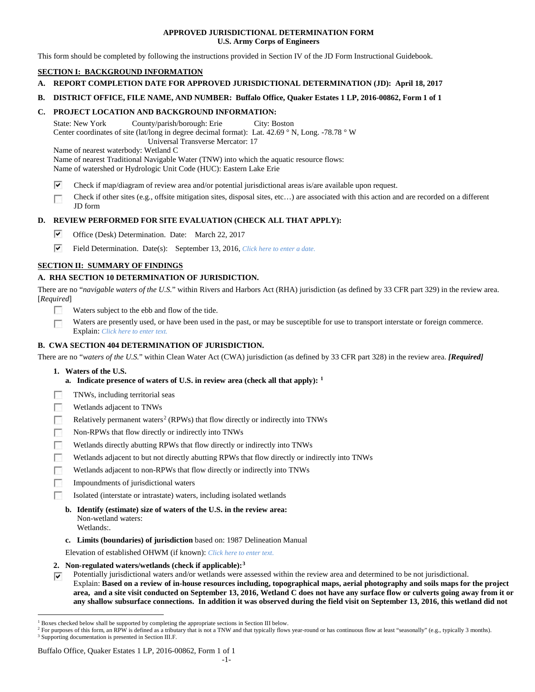## **APPROVED JURISDICTIONAL DETERMINATION FORM U.S. Army Corps of Engineers**

This form should be completed by following the instructions provided in Section IV of the JD Form Instructional Guidebook.

# **SECTION I: BACKGROUND INFORMATION**

- **A. REPORT COMPLETION DATE FOR APPROVED JURISDICTIONAL DETERMINATION (JD): April 18, 2017**
- **B. DISTRICT OFFICE, FILE NAME, AND NUMBER: Buffalo Office, Quaker Estates 1 LP, 2016-00862, Form 1 of 1**

## **C. PROJECT LOCATION AND BACKGROUND INFORMATION:**

State: New York County/parish/borough: Erie City: Boston Center coordinates of site (lat/long in degree decimal format): Lat. 42.69 ° N, Long. -78.78 ° W Universal Transverse Mercator: 17

Name of nearest waterbody: Wetland C

Name of nearest Traditional Navigable Water (TNW) into which the aquatic resource flows:

Name of watershed or Hydrologic Unit Code (HUC): Eastern Lake Erie

- ⊽ Check if map/diagram of review area and/or potential jurisdictional areas is/are available upon request.
- Check if other sites (e.g., offsite mitigation sites, disposal sites, etc…) are associated with this action and are recorded on a different  $\sim$ JD form

# **D. REVIEW PERFORMED FOR SITE EVALUATION (CHECK ALL THAT APPLY):**

- ⊽ Office (Desk) Determination. Date: March 22, 2017
- $\overline{\mathbf{v}}$ Field Determination. Date(s): September 13, 2016, *Click here to enter a date.*

# **SECTION II: SUMMARY OF FINDINGS**

# **A. RHA SECTION 10 DETERMINATION OF JURISDICTION.**

There are no "*navigable waters of the U.S.*" within Rivers and Harbors Act (RHA) jurisdiction (as defined by 33 CFR part 329) in the review area. [*Required*]

- Waters subject to the ebb and flow of the tide.
- Waters are presently used, or have been used in the past, or may be susceptible for use to transport interstate or foreign commerce. г Explain: *Click here to enter text.*

# **B. CWA SECTION 404 DETERMINATION OF JURISDICTION.**

There are no "*waters of the U.S.*" within Clean Water Act (CWA) jurisdiction (as defined by 33 CFR part 328) in the review area. *[Required]*

- **1. Waters of the U.S.**
	- **a. Indicate presence of waters of U.S. in review area (check all that apply): [1](#page-0-0)**
- TNWs, including territorial seas **R**
- 50 Wetlands adjacent to TNWs
- $\sim$ Relatively permanent waters<sup>[2](#page-0-1)</sup> (RPWs) that flow directly or indirectly into TNWs
- $\sim$ Non-RPWs that flow directly or indirectly into TNWs
- г Wetlands directly abutting RPWs that flow directly or indirectly into TNWs
- Wetlands adjacent to but not directly abutting RPWs that flow directly or indirectly into TNWs
- Wetlands adjacent to non-RPWs that flow directly or indirectly into TNWs 50
- 55 Impoundments of jurisdictional waters
- E. Isolated (interstate or intrastate) waters, including isolated wetlands
	- **b. Identify (estimate) size of waters of the U.S. in the review area:** Non-wetland waters: Wetlands:.
	- **c. Limits (boundaries) of jurisdiction** based on: 1987 Delineation Manual

Elevation of established OHWM (if known): *Click here to enter text.*

- **2. Non-regulated waters/wetlands (check if applicable):[3](#page-0-2)**
- Potentially jurisdictional waters and/or wetlands were assessed within the review area and determined to be not jurisdictional.  $\overline{\mathbf{v}}$ Explain: **Based on a review of in-house resources including, topographical maps, aerial photography and soils maps for the project area, and a site visit conducted on September 13, 2016, Wetland C does not have any surface flow or culverts going away from it or any shallow subsurface connections. In addition it was observed during the field visit on September 13, 2016, this wetland did not**

## Buffalo Office, Quaker Estates 1 LP, 2016-00862, Form 1 of 1

<span id="page-0-0"></span><sup>&</sup>lt;sup>1</sup> Boxes checked below shall be supported by completing the appropriate sections in Section III below.

<span id="page-0-2"></span><span id="page-0-1"></span><sup>&</sup>lt;sup>2</sup> For purposes of this form, an RPW is defined as a tributary that is not a TNW and that typically flows year-round or has continuous flow at least "seasonally" (e.g., typically 3 months). <sup>3</sup> Supporting documentation is presented in Section III.F.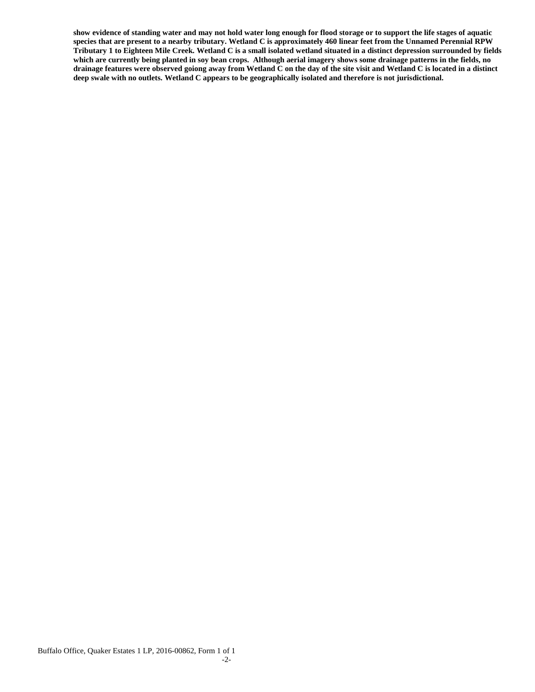**show evidence of standing water and may not hold water long enough for flood storage or to support the life stages of aquatic species that are present to a nearby tributary. Wetland C is approximately 460 linear feet from the Unnamed Perennial RPW Tributary 1 to Eighteen Mile Creek. Wetland C is a small isolated wetland situated in a distinct depression surrounded by fields which are currently being planted in soy bean crops. Although aerial imagery shows some drainage patterns in the fields, no drainage features were observed goiong away from Wetland C on the day of the site visit and Wetland C is located in a distinct deep swale with no outlets. Wetland C appears to be geographically isolated and therefore is not jurisdictional.**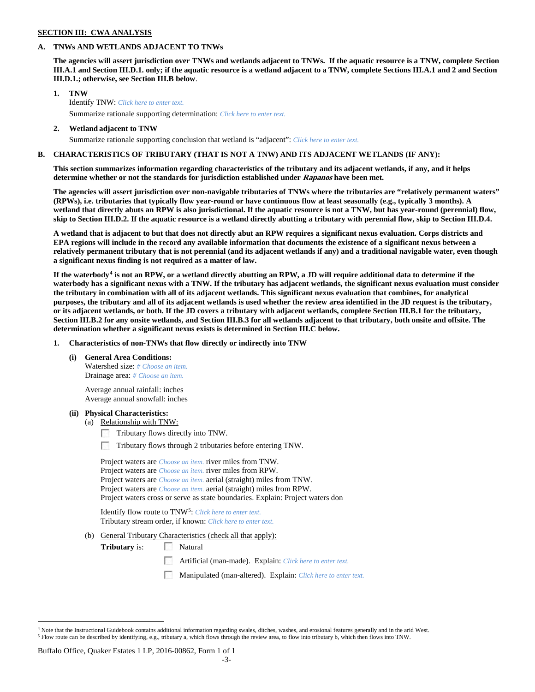#### **SECTION III: CWA ANALYSIS**

## **A. TNWs AND WETLANDS ADJACENT TO TNWs**

**The agencies will assert jurisdiction over TNWs and wetlands adjacent to TNWs. If the aquatic resource is a TNW, complete Section III.A.1 and Section III.D.1. only; if the aquatic resource is a wetland adjacent to a TNW, complete Sections III.A.1 and 2 and Section III.D.1.; otherwise, see Section III.B below**.

- **1. TNW**  Identify TNW: *Click here to enter text.*
	- Summarize rationale supporting determination: *Click here to enter text.*
- **2. Wetland adjacent to TNW** Summarize rationale supporting conclusion that wetland is "adjacent": *Click here to enter text.*

## **B. CHARACTERISTICS OF TRIBUTARY (THAT IS NOT A TNW) AND ITS ADJACENT WETLANDS (IF ANY):**

**This section summarizes information regarding characteristics of the tributary and its adjacent wetlands, if any, and it helps determine whether or not the standards for jurisdiction established under Rapanos have been met.** 

**The agencies will assert jurisdiction over non-navigable tributaries of TNWs where the tributaries are "relatively permanent waters" (RPWs), i.e. tributaries that typically flow year-round or have continuous flow at least seasonally (e.g., typically 3 months). A wetland that directly abuts an RPW is also jurisdictional. If the aquatic resource is not a TNW, but has year-round (perennial) flow, skip to Section III.D.2. If the aquatic resource is a wetland directly abutting a tributary with perennial flow, skip to Section III.D.4.**

**A wetland that is adjacent to but that does not directly abut an RPW requires a significant nexus evaluation. Corps districts and EPA regions will include in the record any available information that documents the existence of a significant nexus between a relatively permanent tributary that is not perennial (and its adjacent wetlands if any) and a traditional navigable water, even though a significant nexus finding is not required as a matter of law.**

**If the waterbody[4](#page-2-0) is not an RPW, or a wetland directly abutting an RPW, a JD will require additional data to determine if the waterbody has a significant nexus with a TNW. If the tributary has adjacent wetlands, the significant nexus evaluation must consider the tributary in combination with all of its adjacent wetlands. This significant nexus evaluation that combines, for analytical purposes, the tributary and all of its adjacent wetlands is used whether the review area identified in the JD request is the tributary, or its adjacent wetlands, or both. If the JD covers a tributary with adjacent wetlands, complete Section III.B.1 for the tributary, Section III.B.2 for any onsite wetlands, and Section III.B.3 for all wetlands adjacent to that tributary, both onsite and offsite. The determination whether a significant nexus exists is determined in Section III.C below.**

**1. Characteristics of non-TNWs that flow directly or indirectly into TNW**

**(i) General Area Conditions:**

Watershed size: *# Choose an item.* Drainage area: *# Choose an item.*

Average annual rainfall: inches Average annual snowfall: inches

#### **(ii) Physical Characteristics:**

- (a) Relationship with TNW:
	- Tributary flows directly into TNW.
	- Tributary flows through 2 tributaries before entering TNW.

Project waters are *Choose an item.* river miles from TNW. Project waters are *Choose an item.* river miles from RPW. Project waters are *Choose an item.* aerial (straight) miles from TNW. Project waters are *Choose an item.* aerial (straight) miles from RPW. Project waters cross or serve as state boundaries. Explain: Project waters don

Identify flow route to TNW[5:](#page-2-1) *Click here to enter text.* Tributary stream order, if known: *Click here to enter text.*

(b) General Tributary Characteristics (check all that apply):

**Tributary** is: Natural

- Artificial (man-made). Explain: *Click here to enter text.*
- Manipulated (man-altered). Explain: *Click here to enter text.*

Buffalo Office, Quaker Estates 1 LP, 2016-00862, Form 1 of 1

<span id="page-2-1"></span><span id="page-2-0"></span> $4$  Note that the Instructional Guidebook contains additional information regarding swales, ditches, washes, and erosional features generally and in the arid West. <sup>5</sup> Flow route can be described by identifying, e.g., tributary a, which flows through the review area, to flow into tributary b, which then flows into TNW.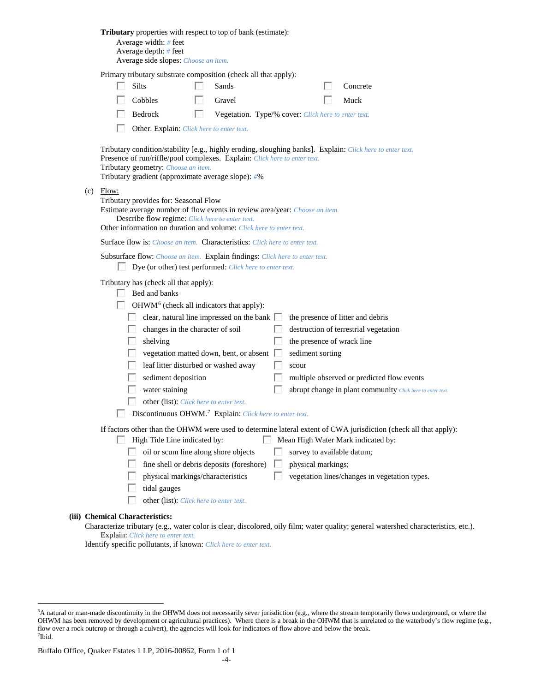|                                                                                                                                                                                        | Tributary properties with respect to top of bank (estimate):<br>Average width: # feet<br>Average depth: $#$ feet<br>Average side slopes: Choose an item.                                                                                                                            |  |  |  |
|----------------------------------------------------------------------------------------------------------------------------------------------------------------------------------------|-------------------------------------------------------------------------------------------------------------------------------------------------------------------------------------------------------------------------------------------------------------------------------------|--|--|--|
|                                                                                                                                                                                        | Primary tributary substrate composition (check all that apply):                                                                                                                                                                                                                     |  |  |  |
|                                                                                                                                                                                        | Silts<br>Sands<br>Concrete                                                                                                                                                                                                                                                          |  |  |  |
|                                                                                                                                                                                        | Cobbles<br>Gravel<br>Muck                                                                                                                                                                                                                                                           |  |  |  |
|                                                                                                                                                                                        | Bedrock<br>L.<br>Vegetation. Type/% cover: Click here to enter text.                                                                                                                                                                                                                |  |  |  |
|                                                                                                                                                                                        | Other. Explain: Click here to enter text.                                                                                                                                                                                                                                           |  |  |  |
|                                                                                                                                                                                        | Tributary condition/stability [e.g., highly eroding, sloughing banks]. Explain: Click here to enter text.<br>Presence of run/riffle/pool complexes. Explain: Click here to enter text.<br>Tributary geometry: Choose an item.<br>Tributary gradient (approximate average slope): #% |  |  |  |
| (c)                                                                                                                                                                                    | Flow:<br>Tributary provides for: Seasonal Flow<br>Estimate average number of flow events in review area/year: Choose an item.<br>Describe flow regime: Click here to enter text.<br>Other information on duration and volume: Click here to enter text.                             |  |  |  |
|                                                                                                                                                                                        | <b>Surface flow is:</b> <i>Choose an item.</i> <b>Characteristics:</b> <i>Click here to enter text.</i>                                                                                                                                                                             |  |  |  |
|                                                                                                                                                                                        | Subsurface flow: Choose an item. Explain findings: Click here to enter text.                                                                                                                                                                                                        |  |  |  |
|                                                                                                                                                                                        | Dye (or other) test performed: Click here to enter text.<br><b>Bart</b>                                                                                                                                                                                                             |  |  |  |
|                                                                                                                                                                                        | Tributary has (check all that apply):<br>Bed and banks<br>OHWM <sup>6</sup> (check all indicators that apply):                                                                                                                                                                      |  |  |  |
|                                                                                                                                                                                        | clear, natural line impressed on the bank $\Box$<br>the presence of litter and debris                                                                                                                                                                                               |  |  |  |
|                                                                                                                                                                                        | changes in the character of soil<br>destruction of terrestrial vegetation                                                                                                                                                                                                           |  |  |  |
|                                                                                                                                                                                        | shelving<br>the presence of wrack line<br>vegetation matted down, bent, or absent<br>sediment sorting                                                                                                                                                                               |  |  |  |
|                                                                                                                                                                                        | leaf litter disturbed or washed away<br>scour                                                                                                                                                                                                                                       |  |  |  |
|                                                                                                                                                                                        | sediment deposition<br>multiple observed or predicted flow events                                                                                                                                                                                                                   |  |  |  |
|                                                                                                                                                                                        | water staining<br>abrupt change in plant community Click here to enter text.                                                                                                                                                                                                        |  |  |  |
|                                                                                                                                                                                        | other (list): Click here to enter text.                                                                                                                                                                                                                                             |  |  |  |
|                                                                                                                                                                                        | Discontinuous OHWM. <sup>7</sup> Explain: Click here to enter text.                                                                                                                                                                                                                 |  |  |  |
| If factors other than the OHWM were used to determine lateral extent of CWA jurisdiction (check all that apply):<br>High Tide Line indicated by:<br>Mean High Water Mark indicated by: |                                                                                                                                                                                                                                                                                     |  |  |  |
|                                                                                                                                                                                        | oil or scum line along shore objects<br>survey to available datum;                                                                                                                                                                                                                  |  |  |  |
|                                                                                                                                                                                        | fine shell or debris deposits (foreshore)<br>physical markings;                                                                                                                                                                                                                     |  |  |  |
|                                                                                                                                                                                        | physical markings/characteristics<br>vegetation lines/changes in vegetation types.                                                                                                                                                                                                  |  |  |  |
|                                                                                                                                                                                        | tidal gauges                                                                                                                                                                                                                                                                        |  |  |  |
|                                                                                                                                                                                        | other (list): Click here to enter text.                                                                                                                                                                                                                                             |  |  |  |
| (iii) Chemical Characteristics:                                                                                                                                                        |                                                                                                                                                                                                                                                                                     |  |  |  |
|                                                                                                                                                                                        | Characterize tributary (e.g., water color is clear, discolored, oily film; water quality; general watershed characteristics, etc.).                                                                                                                                                 |  |  |  |

# Explain: *Click here to enter text.*

Identify specific pollutants, if known: *Click here to enter text.*

<span id="page-3-1"></span><span id="page-3-0"></span> <sup>6</sup> <sup>6</sup>A natural or man-made discontinuity in the OHWM does not necessarily sever jurisdiction (e.g., where the stream temporarily flows underground, or where the OHWM has been removed by development or agricultural practices). Where there is a break in the OHWM that is unrelated to the waterbody's flow regime (e.g., flow over a rock outcrop or through a culvert), the agencies will look for indicators of flow above and below the break. 7 Ibid.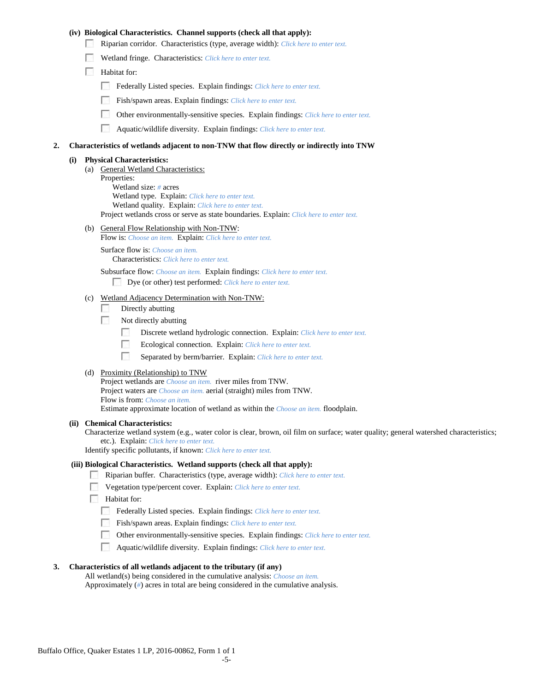## **(iv) Biological Characteristics. Channel supports (check all that apply):**

- Riparian corridor. Characteristics (type, average width): *Click here to enter text.*
- Wetland fringe. Characteristics: *Click here to enter text.*
- Habitat for:
	- Federally Listed species. Explain findings: *Click here to enter text.*
	- Fish/spawn areas. Explain findings: *Click here to enter text.*
	- $\mathcal{L}_{\rm{eff}}$ Other environmentally-sensitive species. Explain findings: *Click here to enter text.*
	- $\mathcal{L}_{\mathcal{S}}$ Aquatic/wildlife diversity. Explain findings: *Click here to enter text.*

#### **2. Characteristics of wetlands adjacent to non-TNW that flow directly or indirectly into TNW**

#### **(i) Physical Characteristics:**

- (a) General Wetland Characteristics: Properties: Wetland size: *#* acres Wetland type. Explain: *Click here to enter text.* Wetland quality. Explain: *Click here to enter text.* Project wetlands cross or serve as state boundaries. Explain: *Click here to enter text.*
- (b) General Flow Relationship with Non-TNW:
	- Flow is: *Choose an item.* Explain: *Click here to enter text.*

Surface flow is: *Choose an item.* Characteristics: *Click here to enter text.*

Subsurface flow: *Choose an item.* Explain findings: *Click here to enter text.*

Dye (or other) test performed: *Click here to enter text.*

## (c) Wetland Adjacency Determination with Non-TNW:

- $\sim$ Directly abutting
- **1999** Not directly abutting
	- $\sim$ Discrete wetland hydrologic connection. Explain: *Click here to enter text.*
	- $\overline{a}$ Ecological connection. Explain: *Click here to enter text.*
	- $\mathcal{L}_{\rm{eff}}$ Separated by berm/barrier. Explain: *Click here to enter text.*
- (d) Proximity (Relationship) to TNW

Project wetlands are *Choose an item.* river miles from TNW. Project waters are *Choose an item.* aerial (straight) miles from TNW. Flow is from: *Choose an item.* Estimate approximate location of wetland as within the *Choose an item.* floodplain.

#### **(ii) Chemical Characteristics:**

Characterize wetland system (e.g., water color is clear, brown, oil film on surface; water quality; general watershed characteristics; etc.). Explain: *Click here to enter text.*

Identify specific pollutants, if known: *Click here to enter text.*

#### **(iii) Biological Characteristics. Wetland supports (check all that apply):**

- Riparian buffer. Characteristics (type, average width): *Click here to enter text.*
- Vegetation type/percent cover. Explain: *Click here to enter text.*
- **Habitat for:** 
	- Federally Listed species. Explain findings: *Click here to enter text.*
	- Fish/spawn areas. Explain findings: *Click here to enter text.*
	- Other environmentally-sensitive species. Explain findings: *Click here to enter text.*
	- Aquatic/wildlife diversity. Explain findings: *Click here to enter text.*

#### **3. Characteristics of all wetlands adjacent to the tributary (if any)**

All wetland(s) being considered in the cumulative analysis: *Choose an item.* Approximately (*#*) acres in total are being considered in the cumulative analysis.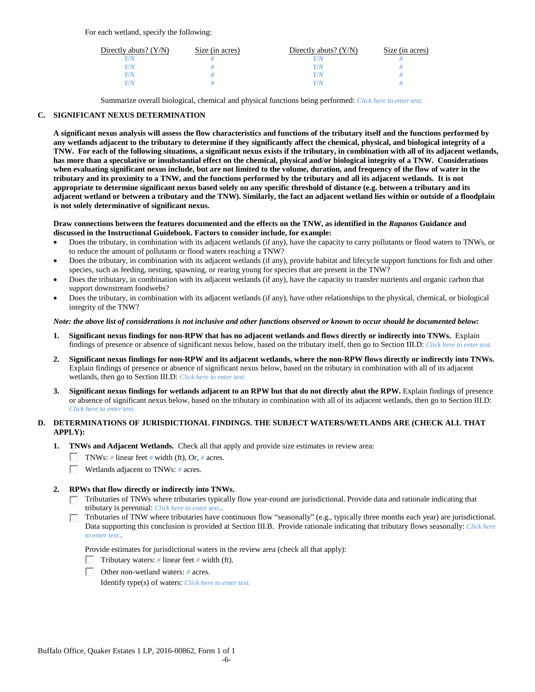For each wetland, specify the following:

| Directly abuts? $(Y/N)$ | Size (in acres) | Directly abuts? $(Y/N)$ | Size (in acres) |
|-------------------------|-----------------|-------------------------|-----------------|
|                         |                 |                         |                 |
| V/N                     |                 | Y/N                     |                 |
| V/N                     |                 | Y/N                     |                 |
|                         |                 | Y/N                     |                 |

Summarize overall biological, chemical and physical functions being performed: *Click here to enter text.*

## **C. SIGNIFICANT NEXUS DETERMINATION**

**A significant nexus analysis will assess the flow characteristics and functions of the tributary itself and the functions performed by any wetlands adjacent to the tributary to determine if they significantly affect the chemical, physical, and biological integrity of a TNW. For each of the following situations, a significant nexus exists if the tributary, in combination with all of its adjacent wetlands, has more than a speculative or insubstantial effect on the chemical, physical and/or biological integrity of a TNW. Considerations when evaluating significant nexus include, but are not limited to the volume, duration, and frequency of the flow of water in the tributary and its proximity to a TNW, and the functions performed by the tributary and all its adjacent wetlands. It is not appropriate to determine significant nexus based solely on any specific threshold of distance (e.g. between a tributary and its adjacent wetland or between a tributary and the TNW). Similarly, the fact an adjacent wetland lies within or outside of a floodplain is not solely determinative of significant nexus.** 

#### **Draw connections between the features documented and the effects on the TNW, as identified in the** *Rapanos* **Guidance and discussed in the Instructional Guidebook. Factors to consider include, for example:**

- Does the tributary, in combination with its adjacent wetlands (if any), have the capacity to carry pollutants or flood waters to TNWs, or to reduce the amount of pollutants or flood waters reaching a TNW?
- Does the tributary, in combination with its adjacent wetlands (if any), provide habitat and lifecycle support functions for fish and other species, such as feeding, nesting, spawning, or rearing young for species that are present in the TNW?
- Does the tributary, in combination with its adjacent wetlands (if any), have the capacity to transfer nutrients and organic carbon that support downstream foodwebs?
- Does the tributary, in combination with its adjacent wetlands (if any), have other relationships to the physical, chemical, or biological integrity of the TNW?

## *Note: the above list of considerations is not inclusive and other functions observed or known to occur should be documented below:*

- **1. Significant nexus findings for non-RPW that has no adjacent wetlands and flows directly or indirectly into TNWs.** Explain findings of presence or absence of significant nexus below, based on the tributary itself, then go to Section III.D: *Click here to enter text.*
- **2. Significant nexus findings for non-RPW and its adjacent wetlands, where the non-RPW flows directly or indirectly into TNWs.**  Explain findings of presence or absence of significant nexus below, based on the tributary in combination with all of its adjacent wetlands, then go to Section III.D: *Click here to enter text.*
- **3. Significant nexus findings for wetlands adjacent to an RPW but that do not directly abut the RPW.** Explain findings of presence or absence of significant nexus below, based on the tributary in combination with all of its adjacent wetlands, then go to Section III.D: *Click here to enter text.*

## **D. DETERMINATIONS OF JURISDICTIONAL FINDINGS. THE SUBJECT WATERS/WETLANDS ARE (CHECK ALL THAT APPLY):**

- **1. TNWs and Adjacent Wetlands.** Check all that apply and provide size estimates in review area:
	- TNWs: *#* linear feet *#* width (ft), Or, *#* acres.
	- $\sim 10$ Wetlands adjacent to TNWs: *#* acres.

## **2. RPWs that flow directly or indirectly into TNWs.**

- $\Box$  Tributaries of TNWs where tributaries typically flow year-round are jurisdictional. Provide data and rationale indicating that tributary is perennial: *Click here to enter text.*.
- Tributaries of TNW where tributaries have continuous flow "seasonally" (e.g., typically three months each year) are jurisdictional. Data supporting this conclusion is provided at Section III.B. Provide rationale indicating that tributary flows seasonally: *Click here to enter text.*.

Provide estimates for jurisdictional waters in the review area (check all that apply):

- Tributary waters: # linear feet # width (ft).
- Other non-wetland waters: *#* acres.

Identify type(s) of waters: *Click here to enter text.*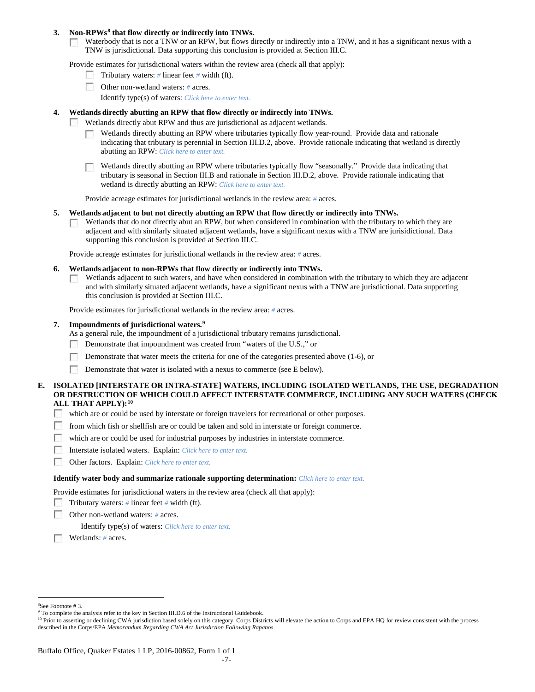### **3. Non-RPWs[8](#page-6-0) that flow directly or indirectly into TNWs.**

Waterbody that is not a TNW or an RPW, but flows directly or indirectly into a TNW, and it has a significant nexus with a **COLLEGE** TNW is jurisdictional. Data supporting this conclusion is provided at Section III.C.

Provide estimates for jurisdictional waters within the review area (check all that apply):

- Tributary waters: *#* linear feet *#* width (ft).
- Other non-wetland waters: *#* acres.
	- Identify type(s) of waters: *Click here to enter text.*

#### **4. Wetlands directly abutting an RPW that flow directly or indirectly into TNWs.**

- **Barbara** Wetlands directly abut RPW and thus are jurisdictional as adjacent wetlands.
	- Wetlands directly abutting an RPW where tributaries typically flow year-round. Provide data and rationale indicating that tributary is perennial in Section III.D.2, above. Provide rationale indicating that wetland is directly abutting an RPW: *Click here to enter text.*

Wetlands directly abutting an RPW where tributaries typically flow "seasonally." Provide data indicating that tributary is seasonal in Section III.B and rationale in Section III.D.2, above. Provide rationale indicating that wetland is directly abutting an RPW: *Click here to enter text.*

Provide acreage estimates for jurisdictional wetlands in the review area: *#* acres.

#### **5. Wetlands adjacent to but not directly abutting an RPW that flow directly or indirectly into TNWs.**

Wetlands that do not directly abut an RPW, but when considered in combination with the tributary to which they are  $\sim$ adjacent and with similarly situated adjacent wetlands, have a significant nexus with a TNW are jurisidictional. Data supporting this conclusion is provided at Section III.C.

Provide acreage estimates for jurisdictional wetlands in the review area: *#* acres.

- **6. Wetlands adjacent to non-RPWs that flow directly or indirectly into TNWs.** 
	- Wetlands adjacent to such waters, and have when considered in combination with the tributary to which they are adjacent  $\sim$ and with similarly situated adjacent wetlands, have a significant nexus with a TNW are jurisdictional. Data supporting this conclusion is provided at Section III.C.

Provide estimates for jurisdictional wetlands in the review area: *#* acres.

## **7. Impoundments of jurisdictional waters. [9](#page-6-1)**

As a general rule, the impoundment of a jurisdictional tributary remains jurisdictional.

- Demonstrate that impoundment was created from "waters of the U.S.," or
- Demonstrate that water meets the criteria for one of the categories presented above (1-6), or
- Г Demonstrate that water is isolated with a nexus to commerce (see E below).

## **E. ISOLATED [INTERSTATE OR INTRA-STATE] WATERS, INCLUDING ISOLATED WETLANDS, THE USE, DEGRADATION OR DESTRUCTION OF WHICH COULD AFFECT INTERSTATE COMMERCE, INCLUDING ANY SUCH WATERS (CHECK ALL THAT APPLY):[10](#page-6-2)**

- which are or could be used by interstate or foreign travelers for recreational or other purposes.
- **1999** from which fish or shellfish are or could be taken and sold in interstate or foreign commerce.
- $\mathcal{N}(\mathcal{A})$ which are or could be used for industrial purposes by industries in interstate commerce.
- 200 Interstate isolated waters.Explain: *Click here to enter text.*
- $\sim$ Other factors.Explain: *Click here to enter text.*

#### **Identify water body and summarize rationale supporting determination:** *Click here to enter text.*

Provide estimates for jurisdictional waters in the review area (check all that apply):

- Tributary waters: *#* linear feet *#* width (ft).
- Е Other non-wetland waters: *#* acres.

Identify type(s) of waters: *Click here to enter text.*

Wetlands: *#* acres.

 $\frac{1}{8}$ See Footnote # 3.

<span id="page-6-1"></span><span id="page-6-0"></span><sup>&</sup>lt;sup>9</sup> To complete the analysis refer to the key in Section III.D.6 of the Instructional Guidebook.

<span id="page-6-2"></span><sup>&</sup>lt;sup>10</sup> Prior to asserting or declining CWA jurisdiction based solely on this category, Corps Districts will elevate the action to Corps and EPA HQ for review consistent with the process described in the Corps/EPA *Memorandum Regarding CWA Act Jurisdiction Following Rapanos.*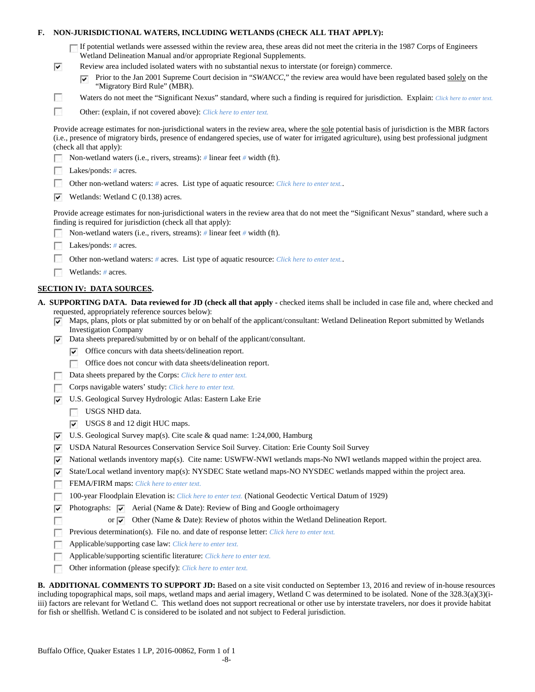## **F. NON-JURISDICTIONAL WATERS, INCLUDING WETLANDS (CHECK ALL THAT APPLY):**

| If potential wetlands were assessed within the review area, these areas did not meet the criteria in the 1987 Corps of Engineers |
|----------------------------------------------------------------------------------------------------------------------------------|
| Wetland Delineation Manual and/or appropriate Regional Supplements.                                                              |

- Review area included isolated waters with no substantial nexus to interstate (or foreign) commerce.
	- **Prior to the Jan 2001 Supreme Court decision in "***SWANCC*," the review area would have been regulated based solely on the "Migratory Bird Rule" (MBR).
- Waters do not meet the "Significant Nexus" standard, where such a finding is required for jurisdiction. Explain: *Click here to enter text.*
- $\overline{a}$ Other: (explain, if not covered above): *Click here to enter text.*

Provide acreage estimates for non-jurisdictional waters in the review area, where the sole potential basis of jurisdiction is the MBR factors (i.e., presence of migratory birds, presence of endangered species, use of water for irrigated agriculture), using best professional judgment (check all that apply):

- Non-wetland waters (i.e., rivers, streams): *#* linear feet *#* width (ft).
- Lakes/ponds: *#* acres.

 $\overline{\mathbf{v}}$ 

П

- $\sim$ Other non-wetland waters: *#* acres. List type of aquatic resource: *Click here to enter text.*.
- $\blacktriangleright$  Wetlands: Wetland C (0.138) acres.

Provide acreage estimates for non-jurisdictional waters in the review area that do not meet the "Significant Nexus" standard, where such a finding is required for jurisdiction (check all that apply):

- г Non-wetland waters (i.e., rivers, streams): *#* linear feet *#* width (ft).
- Lakes/ponds: *#* acres. г
- Other non-wetland waters: *#* acres. List type of aquatic resource: *Click here to enter text.*.
- $\sim$ Wetlands: *#* acres.

## **SECTION IV: DATA SOURCES.**

- **A. SUPPORTING DATA. Data reviewed for JD (check all that apply -** checked items shall be included in case file and, where checked and requested, appropriately reference sources below):
	- Maps, plans, plots or plat submitted by or on behalf of the applicant/consultant: Wetland Delineation Report submitted by Wetlands ▽ Investigation Company
	- $\nabla$  Data sheets prepared/submitted by or on behalf of the applicant/consultant.
		- $\triangledown$  Office concurs with data sheets/delineation report.
		- Office does not concur with data sheets/delineation report.
	- Data sheets prepared by the Corps: *Click here to enter text.*
	- Corps navigable waters' study: *Click here to enter text.*
	- U.S. Geological Survey Hydrologic Atlas: Eastern Lake Erie
		- USGS NHD data.

Г г

- USGS 8 and 12 digit HUC maps.
- $\triangledown$  U.S. Geological Survey map(s). Cite scale & quad name: 1:24,000, Hamburg
- USDA Natural Resources Conservation Service Soil Survey. Citation: Erie County Soil Survey
- $\triangledown$  National wetlands inventory map(s). Cite name: USWFW-NWI wetlands maps-No NWI wetlands mapped within the project area.
- $\blacktriangledown$  State/Local wetland inventory map(s): NYSDEC State wetland maps-NO NYSDEC wetlands mapped within the project area.
- FEMA/FIRM maps: *Click here to enter text.*
- 100-year Floodplain Elevation is: *Click here to enter text.* (National Geodectic Vertical Datum of 1929)  $\sim$
- $\overline{\mathsf{v}}$ Photographs:  $\overline{\triangledown}$  Aerial (Name & Date): Review of Bing and Google orthoimagery
	- or  $\triangledown$  Other (Name & Date): Review of photos within the Wetland Delineation Report.
	- Previous determination(s). File no. and date of response letter: *Click here to enter text.*
- Applicable/supporting case law: *Click here to enter text.*
- Applicable/supporting scientific literature: *Click here to enter text.* Г
- Other information (please specify): *Click here to enter text.* г

**B. ADDITIONAL COMMENTS TO SUPPORT JD:** Based on a site visit conducted on September 13, 2016 and review of in-house resources including topographical maps, soil maps, wetland maps and aerial imagery, Wetland C was determined to be isolated. None of the 328.3(a)(3)(iiii) factors are relevant for Wetland C. This wetland does not support recreational or other use by interstate travelers, nor does it provide habitat for fish or shellfish. Wetland C is considered to be isolated and not subject to Federal jurisdiction.